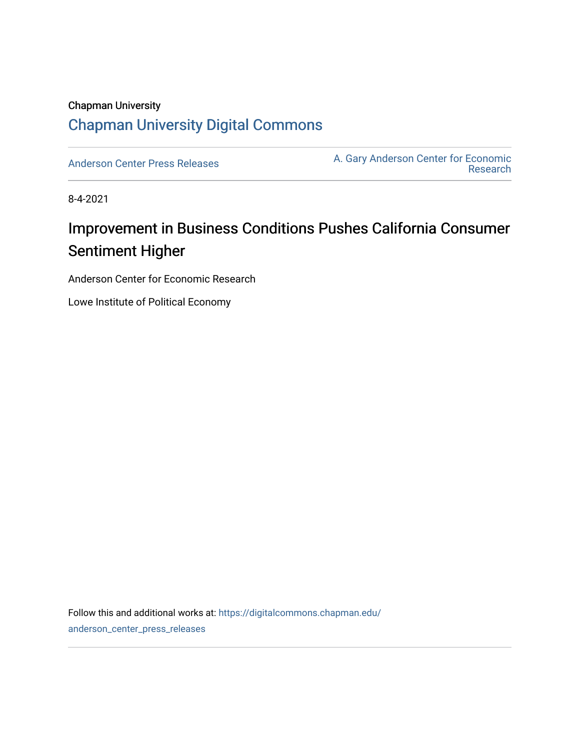### Chapman University [Chapman University Digital Commons](https://digitalcommons.chapman.edu/)

[Anderson Center Press Releases](https://digitalcommons.chapman.edu/anderson_center_press_releases) Anderson Center for Economic A. Gary Anderson Center for Economic [Research](https://digitalcommons.chapman.edu/anderson_center) 

8-4-2021

# Improvement in Business Conditions Pushes California Consumer Sentiment Higher

Anderson Center for Economic Research

Lowe Institute of Political Economy

Follow this and additional works at: [https://digitalcommons.chapman.edu/](https://digitalcommons.chapman.edu/anderson_center_press_releases?utm_source=digitalcommons.chapman.edu%2Fanderson_center_press_releases%2F129&utm_medium=PDF&utm_campaign=PDFCoverPages) [anderson\\_center\\_press\\_releases](https://digitalcommons.chapman.edu/anderson_center_press_releases?utm_source=digitalcommons.chapman.edu%2Fanderson_center_press_releases%2F129&utm_medium=PDF&utm_campaign=PDFCoverPages)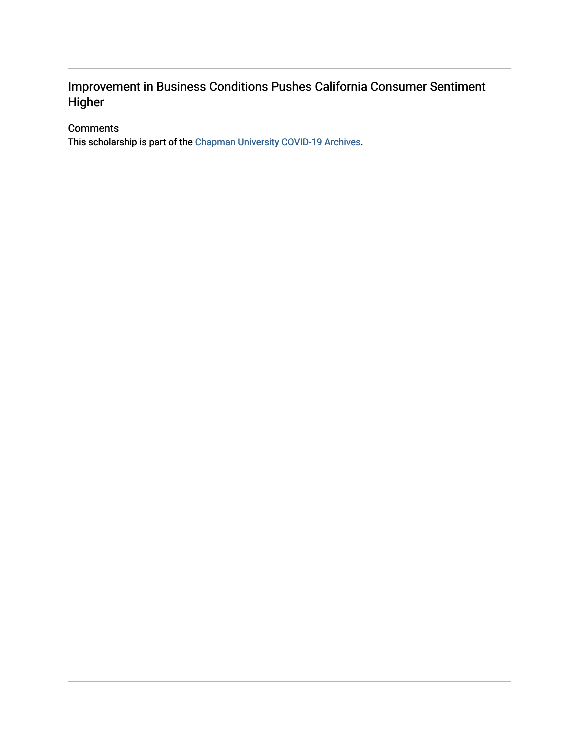### Improvement in Business Conditions Pushes California Consumer Sentiment Higher

#### **Comments**

This scholarship is part of the [Chapman University COVID-19 Archives](https://digitalcommons.chapman.edu/covid-19_archives/).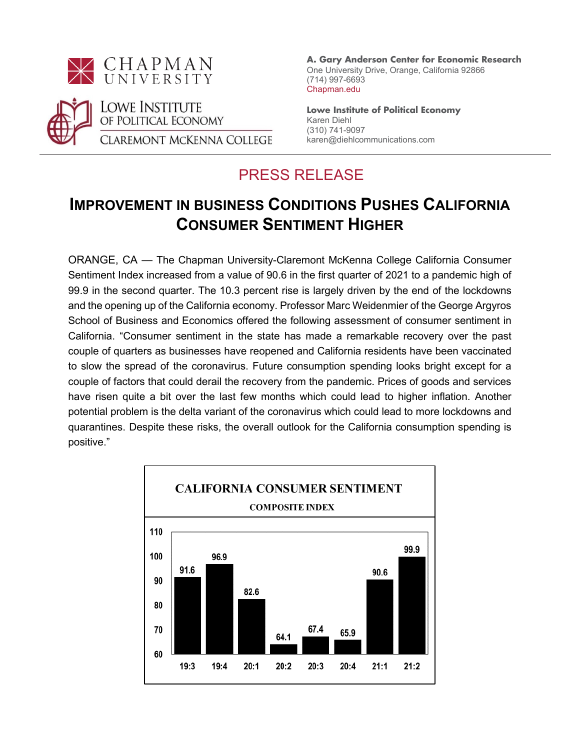



**A. Gary Anderson Center for Economic Research** One University Drive, Orange, California 92866 (714) 997-6693 Chapman.edu

**Lowe Institute of Political Economy** Karen Diehl (310) 741-9097 karen@diehlcommunications.com

## PRESS RELEASE

## **IMPROVEMENT IN BUSINESS CONDITIONS PUSHES CALIFORNIA CONSUMER SENTIMENT HIGHER**

ORANGE, CA — The Chapman University-Claremont McKenna College California Consumer Sentiment Index increased from a value of 90.6 in the first quarter of 2021 to a pandemic high of 99.9 in the second quarter. The 10.3 percent rise is largely driven by the end of the lockdowns and the opening up of the California economy. Professor Marc Weidenmier of the George Argyros School of Business and Economics offered the following assessment of consumer sentiment in California. "Consumer sentiment in the state has made a remarkable recovery over the past couple of quarters as businesses have reopened and California residents have been vaccinated to slow the spread of the coronavirus. Future consumption spending looks bright except for a couple of factors that could derail the recovery from the pandemic. Prices of goods and services have risen quite a bit over the last few months which could lead to higher inflation. Another potential problem is the delta variant of the coronavirus which could lead to more lockdowns and quarantines. Despite these risks, the overall outlook for the California consumption spending is positive."

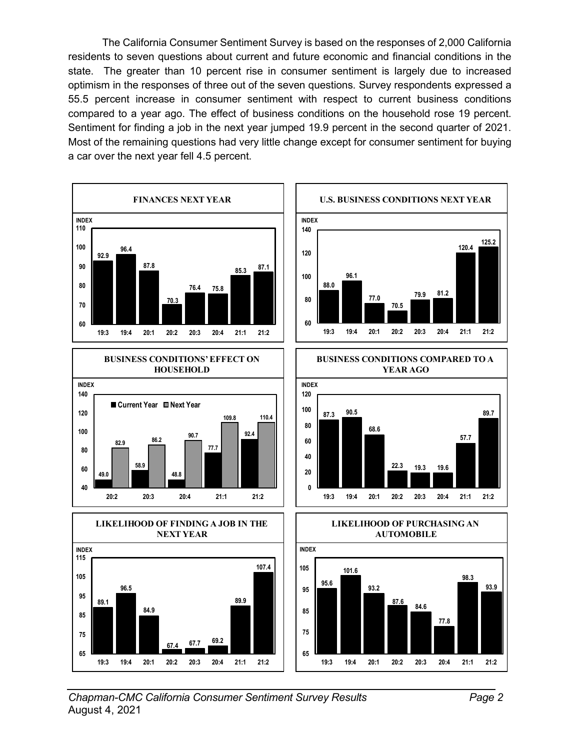The California Consumer Sentiment Survey is based on the responses of 2,000 California residents to seven questions about current and future economic and financial conditions in the state. The greater than 10 percent rise in consumer sentiment is largely due to increased optimism in the responses of three out of the seven questions. Survey respondents expressed a 55.5 percent increase in consumer sentiment with respect to current business conditions compared to a year ago. The effect of business conditions on the household rose 19 percent. Sentiment for finding a job in the next year jumped 19.9 percent in the second quarter of 2021. Most of the remaining questions had very little change except for consumer sentiment for buying a car over the next year fell 4.5 percent.

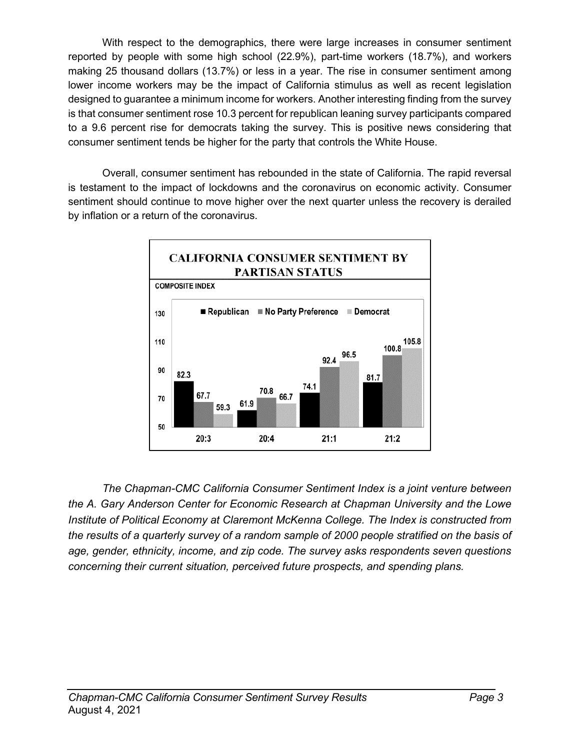With respect to the demographics, there were large increases in consumer sentiment reported by people with some high school (22.9%), part-time workers (18.7%), and workers making 25 thousand dollars (13.7%) or less in a year. The rise in consumer sentiment among lower income workers may be the impact of California stimulus as well as recent legislation designed to guarantee a minimum income for workers. Another interesting finding from the survey is that consumer sentiment rose 10.3 percent for republican leaning survey participants compared to a 9.6 percent rise for democrats taking the survey. This is positive news considering that consumer sentiment tends be higher for the party that controls the White House.

Overall, consumer sentiment has rebounded in the state of California. The rapid reversal is testament to the impact of lockdowns and the coronavirus on economic activity. Consumer sentiment should continue to move higher over the next quarter unless the recovery is derailed by inflation or a return of the coronavirus.



*The Chapman-CMC California Consumer Sentiment Index is a joint venture between the A. Gary Anderson Center for Economic Research at Chapman University and the Lowe Institute of Political Economy at Claremont McKenna College. The Index is constructed from the results of a quarterly survey of a random sample of 2000 people stratified on the basis of age, gender, ethnicity, income, and zip code. The survey asks respondents seven questions concerning their current situation, perceived future prospects, and spending plans.*